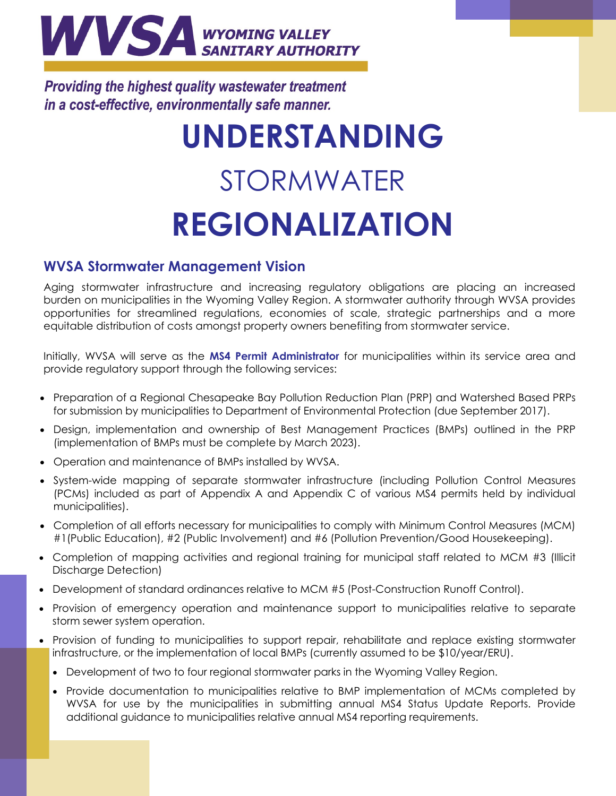

**Providing the highest quality wastewater treatment** in a cost-effective, environmentally safe manner.

# **UNDERSTANDING**  STORMWATER **REGIONALIZATION**

## **WVSA Stormwater Management Vision**

Aging stormwater infrastructure and increasing regulatory obligations are placing an increased burden on municipalities in the Wyoming Valley Region. A stormwater authority through WVSA provides opportunities for streamlined regulations, economies of scale, strategic partnerships and a more equitable distribution of costs amongst property owners benefiting from stormwater service.

Initially, WVSA will serve as the **MS4 Permit Administrator** for municipalities within its service area and provide regulatory support through the following services:

- Preparation of a Regional Chesapeake Bay Pollution Reduction Plan (PRP) and Watershed Based PRPs for submission by municipalities to Department of Environmental Protection (due September 2017).
- Design, implementation and ownership of Best Management Practices (BMPs) outlined in the PRP (implementation of BMPs must be complete by March 2023).
- Operation and maintenance of BMPs installed by WVSA.
- System-wide mapping of separate stormwater infrastructure (including Pollution Control Measures (PCMs) included as part of Appendix A and Appendix C of various MS4 permits held by individual municipalities).
- Completion of all efforts necessary for municipalities to comply with Minimum Control Measures (MCM) #1(Public Education), #2 (Public Involvement) and #6 (Pollution Prevention/Good Housekeeping).
- Completion of mapping activities and regional training for municipal staff related to MCM #3 (Illicit Discharge Detection)
- Development of standard ordinances relative to MCM #5 (Post-Construction Runoff Control).
- Provision of emergency operation and maintenance support to municipalities relative to separate storm sewer system operation.
- Provision of funding to municipalities to support repair, rehabilitate and replace existing stormwater infrastructure, or the implementation of local BMPs (currently assumed to be \$10/year/ERU).
	- Development of two to four regional stormwater parks in the Wyoming Valley Region.
	- Provide documentation to municipalities relative to BMP implementation of MCMs completed by WVSA for use by the municipalities in submitting annual MS4 Status Update Reports. Provide additional guidance to municipalities relative annual MS4 reporting requirements.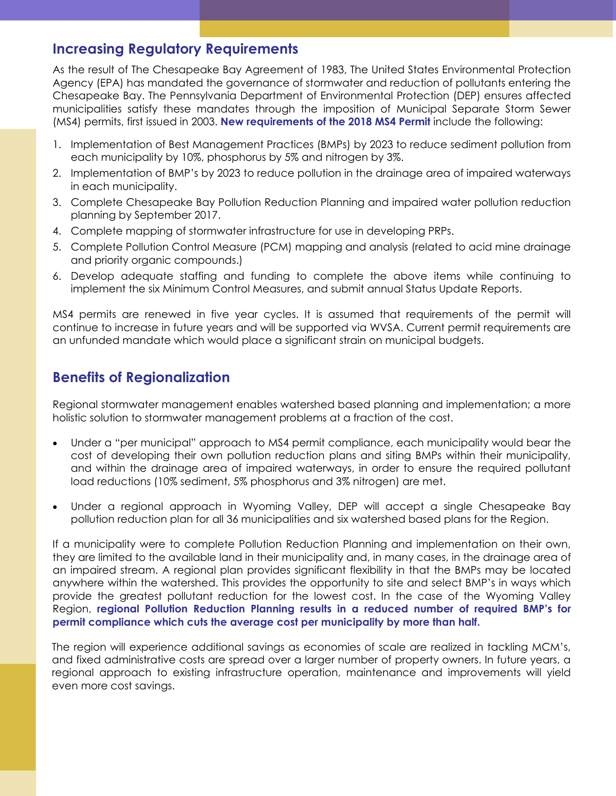## **Increasing Regulatory Requirements**

As the result of The Chesapeake Bay Agreement of 1983, The United States Environmental Protection Agency (EPA) has mandated the governance of stormwater and reduction of pollutants entering the Chesapeake Bay. The Pennsylvania Department of Environmental Protection (DEP) ensures affected municipalities satisfy these mandates through the imposition of Municipal Separate Storm Sewer (MS4) permits, first issued in 2003. **New requirements of the 2018 MS4 Permit** include the following:

- 1. Implementation of Best Management Practices (BMPs) by 2023 to reduce sediment pollution from each municipality by 10%, phosphorus by 5% and nitrogen by 3%.
- 2. Implementation of BMP's by 2023 to reduce pollution in the drainage area of impaired waterways in each municipality.
- 3. Complete Chesapeake Bay Pollution Reduction Planning and impaired water pollution reduction planning by September 2017.
- 4. Complete mapping of stormwater infrastructure for use in developing PRPs.
- 5. Complete Pollution Control Measure (PCM) mapping and analysis (related to acid mine drainage and priority organic compounds.)
- 6. Develop adequate staffing and funding to complete the above items while continuing to implement the six Minimum Control Measures, and submit annual Status Update Reports.

MS4 permits are renewed in five year cycles. It is assumed that requirements of the permit will continue to increase in future years and will be supported via WVSA. Current permit requirements are an unfunded mandate which would place a significant strain on municipal budgets.

# **Benefits of Regionalization**

Regional stormwater management enables watershed based planning and implementation; a more holistic solution to stormwater management problems at a fraction of the cost.

- Under a "per municipal" approach to MS4 permit compliance, each municipality would bear the cost of developing their own pollution reduction plans and siting BMPs within their municipality, and within the drainage area of impaired waterways, in order to ensure the required pollutant load reductions (10% sediment, 5% phosphorus and 3% nitrogen) are met.
- Under a regional approach in Wyoming Valley, DEP will accept a single Chesapeake Bay pollution reduction plan for all 36 municipalities and six watershed based plans for the Region.

If a municipality were to complete Pollution Reduction Planning and implementation on their own, they are limited to the available land in their municipality and, in many cases, in the drainage area of an impaired stream. A regional plan provides significant flexibility in that the BMPs may be located anywhere within the watershed. This provides the opportunity to site and select BMP's in ways which provide the greatest pollutant reduction for the lowest cost. In the case of the Wyoming Valley Region, **regional Pollution Reduction Planning results in a reduced number of required BMP's for permit compliance which cuts the average cost per municipality by more than half.**

The region will experience additional savings as economies of scale are realized in tackling MCM's, and fixed administrative costs are spread over a larger number of property owners. In future years, a regional approach to existing infrastructure operation, maintenance and improvements will yield even more cost savings.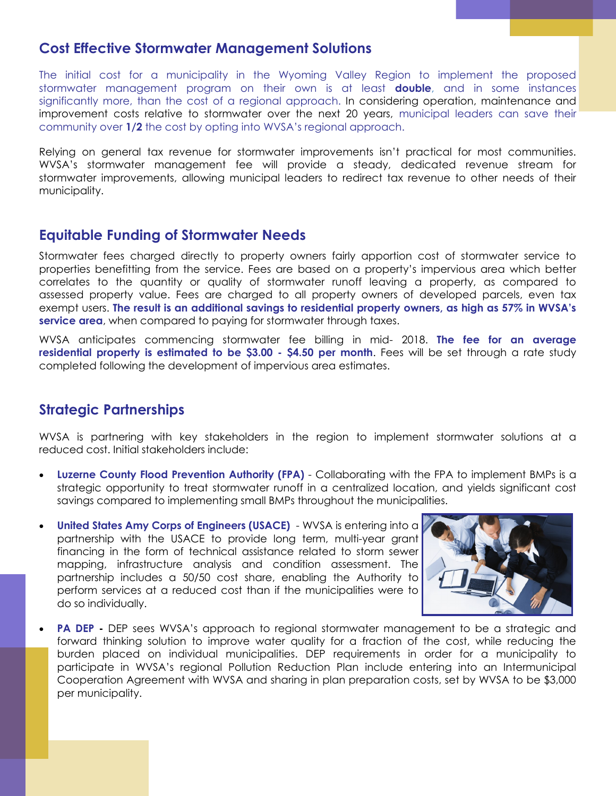## **Cost Effective Stormwater Management Solutions**

The initial cost for a municipality in the Wyoming Valley Region to implement the proposed stormwater management program on their own is at least **double**, and in some instances significantly more, than the cost of a regional approach. In considering operation, maintenance and improvement costs relative to stormwater over the next 20 years, municipal leaders can save their community over **1/2** the cost by opting into WVSA's regional approach.

Relying on general tax revenue for stormwater improvements isn't practical for most communities. WVSA's stormwater management fee will provide a steady, dedicated revenue stream for stormwater improvements, allowing municipal leaders to redirect tax revenue to other needs of their municipality.

### **Equitable Funding of Stormwater Needs**

Stormwater fees charged directly to property owners fairly apportion cost of stormwater service to properties benefitting from the service. Fees are based on a property's impervious area which better correlates to the quantity or quality of stormwater runoff leaving a property, as compared to assessed property value. Fees are charged to all property owners of developed parcels, even tax exempt users. **The result is an additional savings to residential property owners, as high as 57% in WVSA's service area**, when compared to paying for stormwater through taxes.

WVSA anticipates commencing stormwater fee billing in mid- 2018. **The fee for an average residential property is estimated to be \$3.00 - \$4.50 per month**. Fees will be set through a rate study completed following the development of impervious area estimates.

## **Strategic Partnerships**

WVSA is partnering with key stakeholders in the region to implement stormwater solutions at a reduced cost. Initial stakeholders include:

- **Luzerne County Flood Prevention Authority (FPA)** Collaborating with the FPA to implement BMPs is a strategic opportunity to treat stormwater runoff in a centralized location, and yields significant cost savings compared to implementing small BMPs throughout the municipalities.
- **United States Amy Corps of Engineers (USACE)** WVSA is entering into a partnership with the USACE to provide long term, multi-year grant financing in the form of technical assistance related to storm sewer mapping, infrastructure analysis and condition assessment. The partnership includes a 50/50 cost share, enabling the Authority to perform services at a reduced cost than if the municipalities were to do so individually.



**PA DEP -** DEP sees WVSA's approach to regional stormwater management to be a strategic and forward thinking solution to improve water quality for a fraction of the cost, while reducing the burden placed on individual municipalities. DEP requirements in order for a municipality to participate in WVSA's regional Pollution Reduction Plan include entering into an Intermunicipal Cooperation Agreement with WVSA and sharing in plan preparation costs, set by WVSA to be \$3,000 per municipality.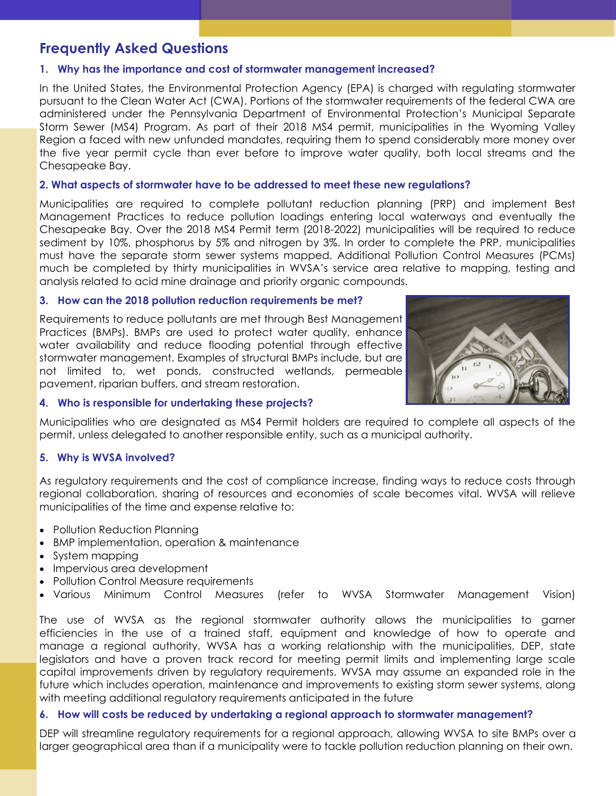# **Frequently Asked Questions**

#### **1. Why has the importance and cost of stormwater management increased?**

In the United States, the Environmental Protection Agency (EPA) is charged with regulating stormwater pursuant to the Clean Water Act (CWA). Portions of the stormwater requirements of the federal CWA are administered under the [Pennsylvania Department of Environmental Protection's](http://www.depweb.state.pa.us/) Municipal Separate Storm Sewer (MS4) Program. As part of their 2018 MS4 permit, municipalities in the Wyoming Valley Region a faced with new unfunded mandates, requiring them to spend considerably more money over the five year permit cycle than ever before to improve water quality, both local streams and the Chesapeake Bay.

#### **2. What aspects of stormwater have to be addressed to meet these new regulations?**

Municipalities are required to complete pollutant reduction planning (PRP) and implement Best Management Practices to reduce pollution loadings entering local waterways and eventually the Chesapeake Bay. Over the 2018 MS4 Permit term (2018-2022) municipalities will be required to reduce sediment by 10%, phosphorus by 5% and nitrogen by 3%. In order to complete the PRP, municipalities must have the separate storm sewer systems mapped. Additional Pollution Control Measures (PCMs) much be completed by thirty municipalities in WVSA's service area relative to mapping, testing and analysis related to acid mine drainage and priority organic compounds.

#### **3. How can the 2018 pollution reduction requirements be met?**

Requirements to reduce pollutants are met through Best Management Practices (BMPs). BMPs are used to protect water quality, enhance water availability and reduce flooding potential through effective stormwater management. Examples of structural BMPs include, but are not limited to, wet ponds, constructed wetlands, permeable pavement, riparian buffers, and stream restoration.



#### **4. Who is responsible for undertaking these projects?**

Municipalities who are designated as MS4 Permit holders are required to complete all aspects of the permit, unless delegated to another responsible entity, such as a municipal authority.

#### **5. Why is WVSA involved?**

As regulatory requirements and the cost of compliance increase, finding ways to reduce costs through regional collaboration, sharing of resources and economies of scale becomes vital. WVSA will relieve municipalities of the time and expense relative to:

- Pollution Reduction Planning
- BMP implementation, operation & maintenance
- System mapping
- Impervious area development
- Pollution Control Measure requirements
- Various Minimum Control Measures (refer to WVSA Stormwater Management Vision)

The use of WVSA as the regional stormwater authority allows the municipalities to garner efficiencies in the use of a trained staff, equipment and knowledge of how to operate and manage a regional authority. WVSA has a working relationship with the municipalities, DEP, state legislators and have a proven track record for meeting permit limits and implementing large scale capital improvements driven by regulatory requirements. WVSA may assume an expanded role in the future which includes operation, maintenance and improvements to existing storm sewer systems, along with meeting additional regulatory requirements anticipated in the future

#### **6. How will costs be reduced by undertaking a regional approach to stormwater management?**

DEP will streamline regulatory requirements for a regional approach, allowing WVSA to site BMPs over a larger geographical area than if a municipality were to tackle pollution reduction planning on their own.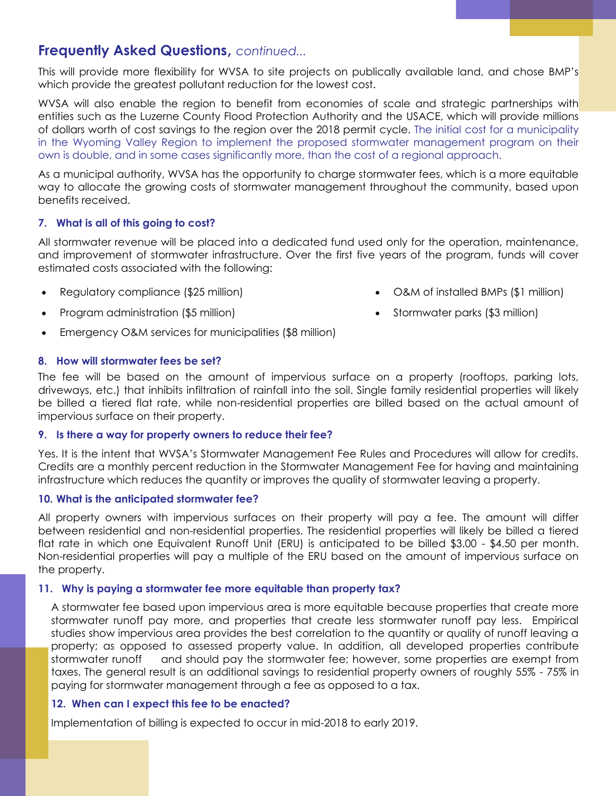## **Frequently Asked Questions,** *continued...*

This will provide more flexibility for WVSA to site projects on publically available land, and chose BMP's which provide the greatest pollutant reduction for the lowest cost.

WVSA will also enable the region to benefit from economies of scale and strategic partnerships with entities such as the Luzerne County Flood Protection Authority and the USACE, which will provide millions of dollars worth of cost savings to the region over the 2018 permit cycle. The initial cost for a municipality in the Wyoming Valley Region to implement the proposed stormwater management program on their own is double, and in some cases significantly more, than the cost of a regional approach.

As a municipal authority, WVSA has the opportunity to charge stormwater fees, which is a more equitable way to allocate the growing costs of stormwater management throughout the community, based upon benefits received.

#### **7. What is all of this going to cost?**

All stormwater revenue will be placed into a dedicated fund used only for the operation, maintenance, and improvement of stormwater infrastructure. Over the first five years of the program, funds will cover estimated costs associated with the following:

- - Regulatory compliance (\$25 million) O&M of installed BMPs (\$1 million)
- Program administration (\$5 million) **Subset Convents (\$3 million) Stormwater parks (\$3 million)** 
	-
- Emergency O&M services for municipalities (\$8 million)

#### **8. How will stormwater fees be set?**

The fee will be based on the amount of impervious surface on a property (rooftops, parking lots, driveways, etc.) that inhibits infiltration of rainfall into the soil. Single family residential properties will likely be billed a tiered flat rate, while non-residential properties are billed based on the actual amount of impervious surface on their property.

#### **9. Is there a way for property owners to reduce their fee?**

Yes. It is the intent that WVSA's Stormwater Management Fee Rules and Procedures will allow for credits. Credits are a monthly percent reduction in the Stormwater Management Fee for having and maintaining infrastructure which reduces the quantity or improves the quality of stormwater leaving a property.

#### **10. What is the anticipated stormwater fee?**

All property owners with impervious surfaces on their property will pay a fee. The amount will differ between residential and non-residential properties. The residential properties will likely be billed a tiered flat rate in which one Equivalent Runoff Unit (ERU) is anticipated to be billed \$3.00 - \$4.50 per month. Non-residential properties will pay a multiple of the ERU based on the amount of impervious surface on the property.

#### **11. Why is paying a stormwater fee more equitable than property tax?**

A stormwater fee based upon impervious area is more equitable because properties that create more stormwater runoff pay more, and properties that create less stormwater runoff pay less. Empirical studies show impervious area provides the best correlation to the quantity or quality of runoff leaving a property; as opposed to assessed property value. In addition, all developed properties contribute stormwater runoff and should pay the stormwater fee; however, some properties are exempt from taxes. The general result is an additional savings to residential property owners of roughly 55% - 75% in paying for stormwater management through a fee as opposed to a tax.

#### **12. When can I expect this fee to be enacted?**

Implementation of billing is expected to occur in mid-2018 to early 2019.